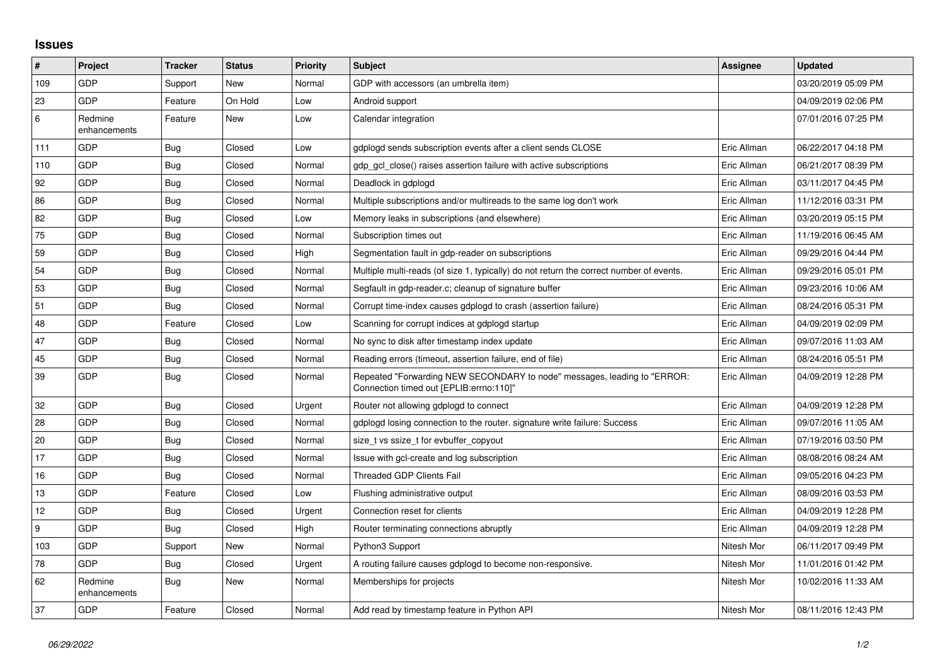## **Issues**

| $\sharp$         | Project                 | <b>Tracker</b> | <b>Status</b> | <b>Priority</b> | <b>Subject</b>                                                                                                      | Assignee    | <b>Updated</b>      |
|------------------|-------------------------|----------------|---------------|-----------------|---------------------------------------------------------------------------------------------------------------------|-------------|---------------------|
| 109              | GDP                     | Support        | New           | Normal          | GDP with accessors (an umbrella item)                                                                               |             | 03/20/2019 05:09 PM |
| 23               | GDP                     | Feature        | On Hold       | Low             | Android support                                                                                                     |             | 04/09/2019 02:06 PM |
| 6                | Redmine<br>enhancements | Feature        | New           | Low             | Calendar integration                                                                                                |             | 07/01/2016 07:25 PM |
| 111              | GDP                     | Bug            | Closed        | Low             | gdplogd sends subscription events after a client sends CLOSE                                                        | Eric Allman | 06/22/2017 04:18 PM |
| 110              | <b>GDP</b>              | Bug            | Closed        | Normal          | gdp gcl close() raises assertion failure with active subscriptions                                                  | Eric Allman | 06/21/2017 08:39 PM |
| 92               | GDP                     | <b>Bug</b>     | Closed        | Normal          | Deadlock in gdplogd                                                                                                 | Eric Allman | 03/11/2017 04:45 PM |
| 86               | GDP                     | Bug            | Closed        | Normal          | Multiple subscriptions and/or multireads to the same log don't work                                                 | Eric Allman | 11/12/2016 03:31 PM |
| 82               | <b>GDP</b>              | <b>Bug</b>     | Closed        | Low             | Memory leaks in subscriptions (and elsewhere)                                                                       | Eric Allman | 03/20/2019 05:15 PM |
| 75               | GDP                     | Bug            | Closed        | Normal          | Subscription times out                                                                                              | Eric Allman | 11/19/2016 06:45 AM |
| 59               | GDP                     | Bug            | Closed        | High            | Segmentation fault in gdp-reader on subscriptions                                                                   | Eric Allman | 09/29/2016 04:44 PM |
| 54               | GDP                     | Bug            | Closed        | Normal          | Multiple multi-reads (of size 1, typically) do not return the correct number of events.                             | Eric Allman | 09/29/2016 05:01 PM |
| 53               | GDP                     | Bug            | Closed        | Normal          | Segfault in gdp-reader.c; cleanup of signature buffer                                                               | Eric Allman | 09/23/2016 10:06 AM |
| 51               | GDP                     | Bug            | Closed        | Normal          | Corrupt time-index causes gdplogd to crash (assertion failure)                                                      | Eric Allman | 08/24/2016 05:31 PM |
| 48               | GDP                     | Feature        | Closed        | Low             | Scanning for corrupt indices at gdplogd startup                                                                     | Eric Allman | 04/09/2019 02:09 PM |
| 47               | GDP                     | Bug            | Closed        | Normal          | No sync to disk after timestamp index update                                                                        | Eric Allman | 09/07/2016 11:03 AM |
| 45               | <b>GDP</b>              | <b>Bug</b>     | Closed        | Normal          | Reading errors (timeout, assertion failure, end of file)                                                            | Eric Allman | 08/24/2016 05:51 PM |
| 39               | GDP                     | Bug            | Closed        | Normal          | Repeated "Forwarding NEW SECONDARY to node" messages, leading to "ERROR:<br>Connection timed out [EPLIB:errno:110]" | Eric Allman | 04/09/2019 12:28 PM |
| 32               | <b>GDP</b>              | Bug            | Closed        | Urgent          | Router not allowing gdplogd to connect                                                                              | Eric Allman | 04/09/2019 12:28 PM |
| 28               | GDP                     | Bug            | Closed        | Normal          | gdplogd losing connection to the router. signature write failure: Success                                           | Eric Allman | 09/07/2016 11:05 AM |
| 20               | GDP                     | Bug            | Closed        | Normal          | size_t vs ssize_t for evbuffer_copyout                                                                              | Eric Allman | 07/19/2016 03:50 PM |
| 17               | GDP                     | <b>Bug</b>     | Closed        | Normal          | Issue with gcl-create and log subscription                                                                          | Eric Allman | 08/08/2016 08:24 AM |
| 16               | GDP                     | Bug            | Closed        | Normal          | <b>Threaded GDP Clients Fail</b>                                                                                    | Eric Allman | 09/05/2016 04:23 PM |
| 13               | GDP                     | Feature        | Closed        | Low             | Flushing administrative output                                                                                      | Eric Allman | 08/09/2016 03:53 PM |
| 12               | GDP                     | Bug            | Closed        | Urgent          | Connection reset for clients                                                                                        | Eric Allman | 04/09/2019 12:28 PM |
| $\boldsymbol{9}$ | GDP                     | Bug            | Closed        | High            | Router terminating connections abruptly                                                                             | Eric Allman | 04/09/2019 12:28 PM |
| 103              | GDP                     | Support        | New           | Normal          | Python3 Support                                                                                                     | Nitesh Mor  | 06/11/2017 09:49 PM |
| 78               | <b>GDP</b>              | Bug            | Closed        | Urgent          | A routing failure causes gdplogd to become non-responsive.                                                          | Nitesh Mor  | 11/01/2016 01:42 PM |
| 62               | Redmine<br>enhancements | <b>Bug</b>     | New           | Normal          | Memberships for projects                                                                                            | Nitesh Mor  | 10/02/2016 11:33 AM |
| 37               | <b>GDP</b>              | Feature        | Closed        | Normal          | Add read by timestamp feature in Python API                                                                         | Nitesh Mor  | 08/11/2016 12:43 PM |